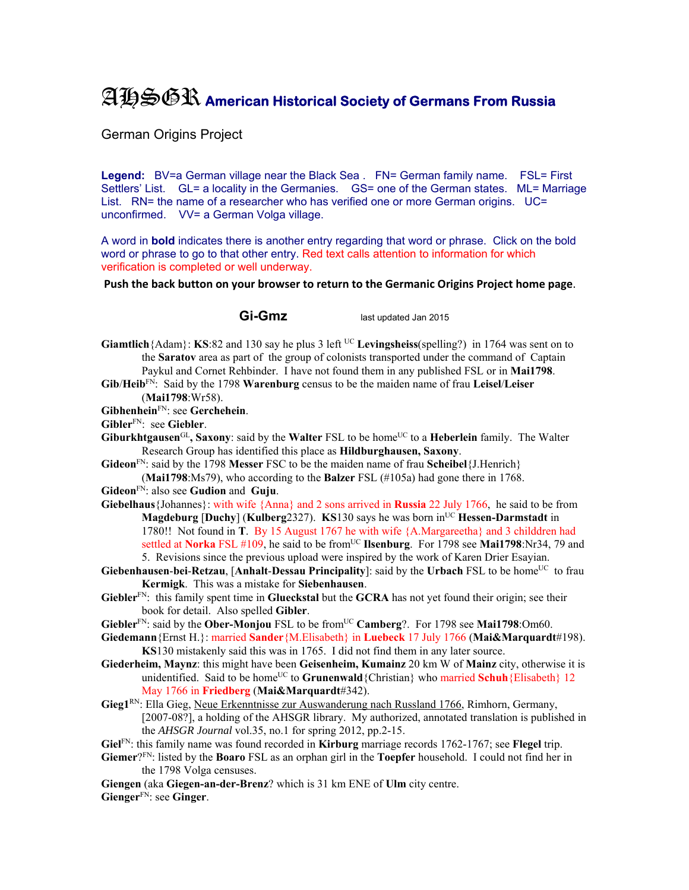## AHSGR **American Historical Society of Germans From Russia**

German Origins Project

Legend: BV=a German village near the Black Sea . FN= German family name. FSL= First Settlers' List. GL= a locality in the Germanies. GS= one of the German states. ML= Marriage List. RN= the name of a researcher who has verified one or more German origins. UC= unconfirmed. VV= a German Volga village.

A word in **bold** indicates there is another entry regarding that word or phrase. Click on the bold word or phrase to go to that other entry. Red text calls attention to information for which verification is completed or well underway.

**Push the back button on your browser to return to the Germanic Origins Project home page**.

**Gi-Gmz** last updated Jan 2015

**Giamtlich**{Adam}: **KS**:82 and 130 say he plus 3 left <sup>UC</sup> Levingsheiss(spelling?) in 1764 was sent on to the **Saratov** area as part of the group of colonists transported under the command of Captain Paykul and Cornet Rehbinder. I have not found them in any published FSL or in **Mai1798**.

**Gib**/**Heib**FN: Said by the 1798 **Warenburg** census to be the maiden name of frau **Leisel**/**Leiser** (**Mai1798**:Wr58).

**Gibhenhein**FN: see **Gerchehein**.

- **Gibler**FN: see **Giebler**.
- Giburkhtgausen<sup>GL</sup>, Saxony: said by the Walter FSL to be home<sup>UC</sup> to a Heberlein family. The Walter Research Group has identified this place as **Hildburghausen, Saxony**.
- **Gideon**FN: said by the 1798 **Messer** FSC to be the maiden name of frau **Scheibel**{J.Henrich} (**Mai1798**:Ms79), who according to the **Balzer** FSL (#105a) had gone there in 1768.

**Gideon**FN: also see **Gudion** and **Guju**.

**Giebelhaus**{Johannes}: with wife {Anna} and 2 sons arrived in **Russia** 22 July 1766, he said to be from **Magdeburg [Duchy] (Kulberg2327). KS130 says he was born in<sup>UC</sup> Hessen-Darmstadt in** 1780!! Not found in **T**. By 15 August 1767 he with wife {A.Margareetha} and 3 childdren had settled at Norka FSL #109, he said to be from<sup>UC</sup> Ilsenburg. For 1798 see Mai1798:Nr34, 79 and 5. Revisions since the previous upload were inspired by the work of Karen Drier Esayian.

- **Giebenhausen-bei-Retzau, [Anhalt-Dessau Principality]:** said by the Urbach FSL to be home<sup>UC</sup> to frau **Kermigk**. This was a mistake for **Siebenhausen**.
- **Giebler**FN: this family spent time in **Glueckstal** but the **GCRA** has not yet found their origin; see their book for detail. Also spelled **Gibler**.
- **Giebler**FN: said by the **Ober-Monjou** FSL to be fromUC **Camberg**?. For 1798 see **Mai1798**:Om60.
- **Giedemann**{Ernst H.}: married **Sander**{M.Elisabeth} in **Luebeck** 17 July 1766 (**Mai&Marquardt**#198). **KS**130 mistakenly said this was in 1765. I did not find them in any later source.
- **Giederheim, Maynz**: this might have been **Geisenheim, Kumainz** 20 km W of **Mainz** city, otherwise it is unidentified. Said to be home<sup>UC</sup> to **Grunenwald** {Christian} who married **Schuh** {Elisabeth} 12 May 1766 in **Friedberg** (**Mai&Marquardt**#342).
- **Gieg1**RN: Ella Gieg, Neue Erkenntnisse zur Auswanderung nach Russland 1766, Rimhorn, Germany, [2007-08?], a holding of the AHSGR library. My authorized, annotated translation is published in the *AHSGR Journal* vol.35, no.1 for spring 2012, pp.2-15.
- **Giel**FN: this family name was found recorded in **Kirburg** marriage records 1762-1767; see **Flegel** trip.
- **Giemer**?FN: listed by the **Boaro** FSL as an orphan girl in the **Toepfer** household. I could not find her in the 1798 Volga censuses.

**Giengen** (aka **Giegen-an-der-Brenz**? which is 31 km ENE of **Ulm** city centre.

**Gienger**FN: see **Ginger**.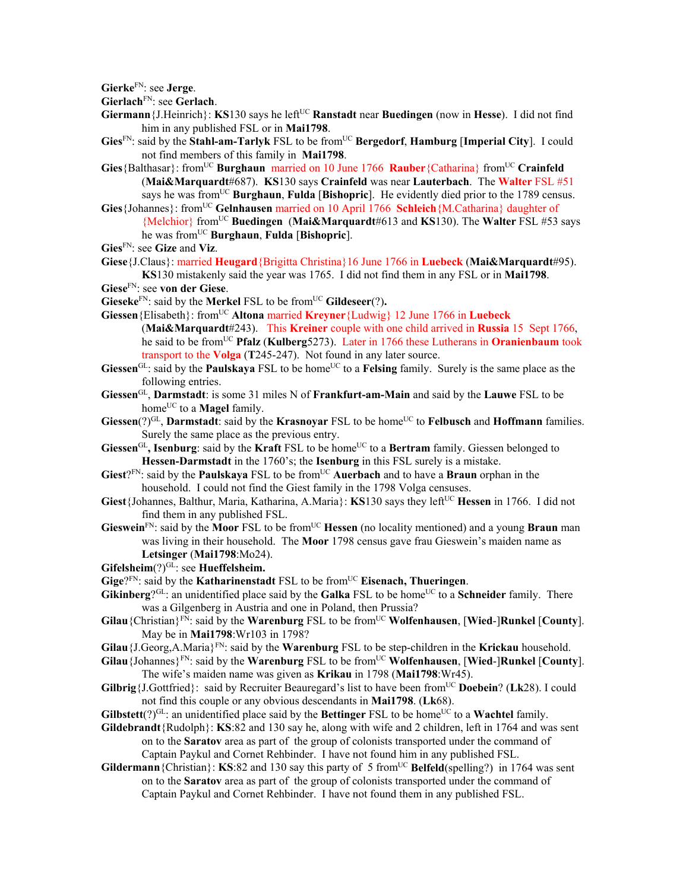**Gierke**FN: see **Jerge**.

**Gierlach**FN: see **Gerlach**.

- **Giermann** {J.Heinrich}: **KS**130 says he left<sup>UC</sup> **Ranstadt** near **Buedingen** (now in **Hesse**). I did not find him in any published FSL or in **Mai1798**.
- **Gies**FN: said by the **Stahl-am-Tarlyk** FSL to be fromUC **Bergedorf**, **Hamburg** [**Imperial City**]. I could not find members of this family in **Mai1798**.
- **Gies** {Balthasar}: from<sup>UC</sup> **Burghaun** married on 10 June 1766 **Rauber** {Catharina} from<sup>UC</sup> **Crainfeld** (**Mai&Marquardt**#687). **KS**130 says **Crainfeld** was near **Lauterbach**. The **Walter** FSL #51 says he was fromUC **Burghaun**, **Fulda** [**Bishopric**]. He evidently died prior to the 1789 census. **Gies**{Johannes}: fromUC **Gelnhausen** married on 10 April 1766 **Schleich**{M.Catharina} daughter of
- {Melchior} fromUC **Buedingen** (**Mai&Marquardt**#613 and **KS**130). The **Walter** FSL #53 says he was fromUC **Burghaun**, **Fulda** [**Bishopric**].
- **Gies**FN: see **Gize** and **Viz**.
- **Giese**{J.Claus}: married **Heugard**{Brigitta Christina}16 June 1766 in **Luebeck** (**Mai&Marquardt**#95). **KS**130 mistakenly said the year was 1765. I did not find them in any FSL or in **Mai1798**.
- **Giese**FN: see **von der Giese**.
- **Gieseke**FN: said by the **Merkel** FSL to be fromUC **Gildeseer**(?)**.**
- **Giessen**{Elisabeth}: fromUC **Altona** married **Kreyner**{Ludwig} 12 June 1766 in **Luebeck**  (**Mai&Marquardt**#243). This **Kreiner** couple with one child arrived in **Russia** 15 Sept 1766, he said to be fromUC **Pfalz** (**Kulberg**5273). Later in 1766 these Lutherans in **Oranienbaum** took transport to the **Volga** (**T**245-247). Not found in any later source.
- Giessen<sup>GL</sup>: said by the **Paulskaya** FSL to be home<sup>UC</sup> to a **Felsing** family. Surely is the same place as the following entries.
- **Giessen**GL, **Darmstadt**: is some 31 miles N of **Frankfurt-am-Main** and said by the **Lauwe** FSL to be home<sup>UC</sup> to a **Magel** family.
- Giessen(?)<sup>GL</sup>, Darmstadt: said by the **Krasnoyar** FSL to be home<sup>UC</sup> to **Felbusch** and **Hoffmann** families. Surely the same place as the previous entry.
- **Giessen**<sup>GL</sup>, **Isenburg**: said by the **Kraft** FSL to be home<sup>UC</sup> to a **Bertram** family. Giessen belonged to **Hessen-Darmstadt** in the 1760's; the **Isenburg** in this FSL surely is a mistake.
- **Giest**?FN: said by the **Paulskaya** FSL to be fromUC **Auerbach** and to have a **Braun** orphan in the household. I could not find the Giest family in the 1798 Volga censuses.
- **Giest**{Johannes, Balthur, Maria, Katharina, A.Maria}: **KS**130 says they leftUC **Hessen** in 1766. I did not find them in any published FSL.
- **Gieswein**FN: said by the **Moor** FSL to be fromUC **Hessen** (no locality mentioned) and a young **Braun** man was living in their household. The **Moor** 1798 census gave frau Gieswein's maiden name as **Letsinger** (**Mai1798**:Mo24).
- Gifelsheim(?)<sup>GL</sup>: see **Hueffelsheim.**
- **Gige**?<sup>FN</sup>: said by the **Katharinenstadt** FSL to be from<sup>UC</sup> **Eisenach, Thueringen**.
- Gikinberg?<sup>GL</sup>: an unidentified place said by the Galka FSL to be home<sup>UC</sup> to a Schneider family. There was a Gilgenberg in Austria and one in Poland, then Prussia?
- **Gilau**{Christian}FN: said by the **Warenburg** FSL to be fromUC **Wolfenhausen**, [**Wied**-]**Runkel** [**County**]. May be in **Mai1798**:Wr103 in 1798?
- **Gilau**{J.Georg,A.Maria}FN: said by the **Warenburg** FSL to be step-children in the **Krickau** household.
- **Gilau**{Johannes}FN: said by the **Warenburg** FSL to be fromUC **Wolfenhausen**, [**Wied**-]**Runkel** [**County**]. The wife's maiden name was given as **Krikau** in 1798 (**Mai1798**:Wr45).
- **Gilbrig** {**J.Gottfried**}: said by Recruiter Beauregard's list to have been from<sup>UC</sup> **Doebein**? (**Lk**28). I could not find this couple or any obvious descendants in **Mai1798**. (**Lk**68).
- **Gilbstett** $(?)^{GL}$ : an unidentified place said by the **Bettinger** FSL to be home<sup>UC</sup> to a **Wachtel** family.
- **Gildebrandt**{Rudolph}: **KS**:82 and 130 say he, along with wife and 2 children, left in 1764 and was sent on to the **Saratov** area as part of the group of colonists transported under the command of Captain Paykul and Cornet Rehbinder. I have not found him in any published FSL.
- **Gildermann**{Christian}: **KS**:82 and 130 say this party of 5 from<sup>UC</sup> **Belfeld**(spelling?) in 1764 was sent on to the **Saratov** area as part of the group of colonists transported under the command of Captain Paykul and Cornet Rehbinder. I have not found them in any published FSL.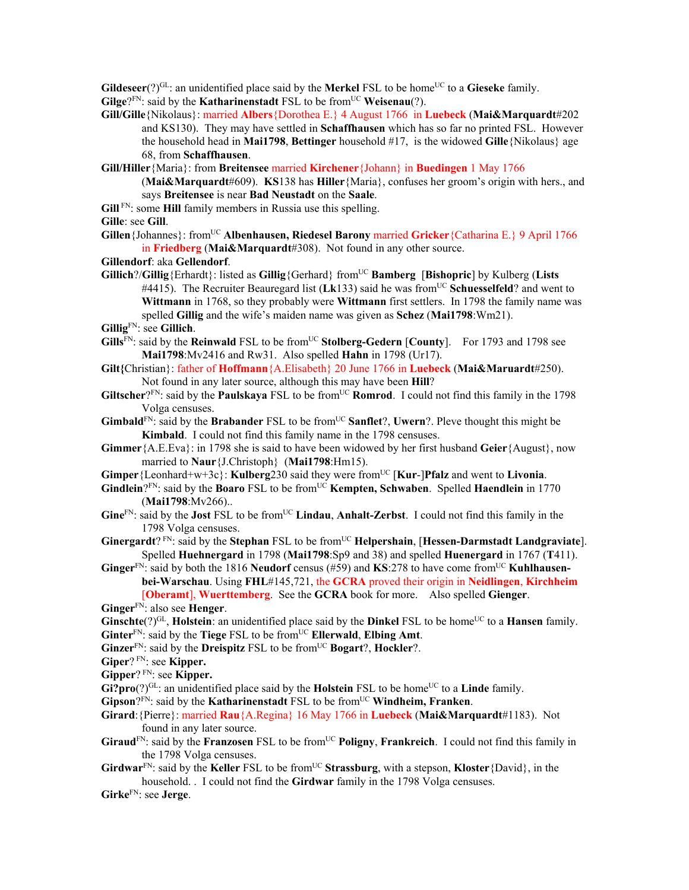**Gildeseer** $(?)^{GL}$ : an unidentified place said by the **Merkel** FSL to be home<sup>UC</sup> to a **Gieseke** family. **Gilge**? $F_N$ : said by the **Katharinenstadt** FSL to be from  $U^C$  **Weisenau**(?).

- **Gill/Gille**{Nikolaus}: married **Albers**{Dorothea E.} 4 August 1766 in **Luebeck** (**Mai&Marquardt**#202 and KS130). They may have settled in **Schaffhausen** which has so far no printed FSL. However the household head in **Mai1798**, **Bettinger** household #17, is the widowed **Gille**{Nikolaus} age 68, from **Schaffhausen**.
- **Gill/Hiller**{Maria}: from **Breitensee** married **Kirchener**{Johann} in **Buedingen** 1 May 1766
	- (**Mai&Marquardt**#609). **KS**138 has **Hiller**{Maria}, confuses her groom's origin with hers., and says **Breitensee** is near **Bad Neustadt** on the **Saale**.
- **Gill** FN: some **Hill** family members in Russia use this spelling.
- **Gille**: see **Gill**.
- **Gillen**{Johannes}: fromUC **Albenhausen, Riedesel Barony** married **Gricker**{Catharina E.} 9 April 1766 in **Friedberg** (**Mai&Marquardt**#308). Not found in any other source.
- **Gillendorf**: aka **Gellendorf**.
- **Gillich**?/**Gillig**{Erhardt}: listed as **Gillig**{Gerhard} fromUC **Bamberg** [**Bishopric**] by Kulberg (**Lists** #4415). The Recruiter Beauregard list (Lk133) said he was from<sup>UC</sup> Schuesselfeld? and went to **Wittmann** in 1768, so they probably were **Wittmann** first settlers. In 1798 the family name was spelled **Gillig** and the wife's maiden name was given as **Schez** (**Mai1798**:Wm21). **Gillig**FN: see **Gillich**.
- 
- **Gills**<sup>FN</sup>: said by the **Reinwald** FSL to be from<sup>UC</sup> **Stolberg-Gedern** [County]. For 1793 and 1798 see **Mai1798**:Mv2416 and Rw31. Also spelled **Hahn** in 1798 (Ur17).
- **Gilt{**Christian}: father of **Hoffmann**{A.Elisabeth} 20 June 1766 in **Luebeck** (**Mai&Maruardt**#250). Not found in any later source, although this may have been **Hill**?
- Giltscher?<sup>FN</sup>: said by the **Paulskaya** FSL to be from<sup>UC</sup> **Romrod**. I could not find this family in the 1798 Volga censuses.
- **Gimbald**<sup>FN</sup>: said by the **Brabander** FSL to be from<sup>UC</sup> **Sanflet**?, **Uwern**?. Pleve thought this might be **Kimbald**. I could not find this family name in the 1798 censuses.
- **Gimmer**{A.E.Eva}: in 1798 she is said to have been widowed by her first husband **Geier**{August}, now married to **Naur**{J.Christoph} (**Mai1798**:Hm15).
- **Gimper**{Leonhard+w+3c}: **Kulberg**230 said they were from<sup>UC</sup> [Kur-]Pfalz and went to **Livonia**.
- **Gindlein**?FN: said by the **Boaro** FSL to be from<sup>UC</sup> **Kempten, Schwaben**. Spelled **Haendlein** in 1770 (**Mai1798**:Mv266)..
- **Gine**FN: said by the **Jost** FSL to be fromUC **Lindau**, **Anhalt-Zerbst**. I could not find this family in the 1798 Volga censuses.
- **Ginergardt**?<sup>FN</sup>: said by the **Stephan** FSL to be from<sup>UC</sup> **Helpershain**, [**Hessen-Darmstadt Landgraviate**]. Spelled **Huehnergard** in 1798 (**Mai1798**:Sp9 and 38) and spelled **Huenergard** in 1767 (**T**411).
- Ginger<sup>FN</sup>: said by both the 1816 Neudorf census (#59) and KS:278 to have come from<sup>UC</sup> Kuhlhausen**bei-Warschau**. Using **FHL**#145,721, the **GCRA** proved their origin in **Neidlingen**, **Kirchheim** [**Oberamt**], **Wuerttemberg**. See the **GCRA** book for more. Also spelled **Gienger**.

**Ginger**FN: also see **Henger**.

- **Ginschte**(?)<sup>GL</sup>, **Holstein**: an unidentified place said by the **Dinkel** FSL to be home<sup>UC</sup> to a **Hansen** family. **Ginter**<sup>FN</sup>: said by the **Tiege** FSL to be from<sup>UC</sup> **Ellerwald**, **Elbing Amt**.
- **Ginzer**<sup>FN</sup>: said by the **Dreispitz** FSL to be from<sup>UC</sup> **Bogart**?, **Hockler**?.
- **Giper**? FN: see **Kipper.**

**Gipper**? FN: see **Kipper.** 

- Gi?pro(?)<sup>GL</sup>: an unidentified place said by the **Holstein** FSL to be home<sup>UC</sup> to a **Linde** family.
- **Gipson**?FN: said by the **Katharinenstadt** FSL to be from<sup>UC</sup> **Windheim, Franken**.
- **Girard**:{Pierre}: married **Rau**{A.Regina} 16 May 1766 in **Luebeck** (**Mai&Marquardt**#1183). Not found in any later source.
- Giraud<sup>FN</sup>: said by the **Franzosen** FSL to be from<sup>UC</sup> Poligny, Frankreich. I could not find this family in the 1798 Volga censuses.
- Girdwar<sup>FN</sup>: said by the Keller FSL to be from<sup>UC</sup> Strassburg, with a stepson, Kloster {David}, in the household. . I could not find the **Girdwar** family in the 1798 Volga censuses.

**Girke**FN: see **Jerge**.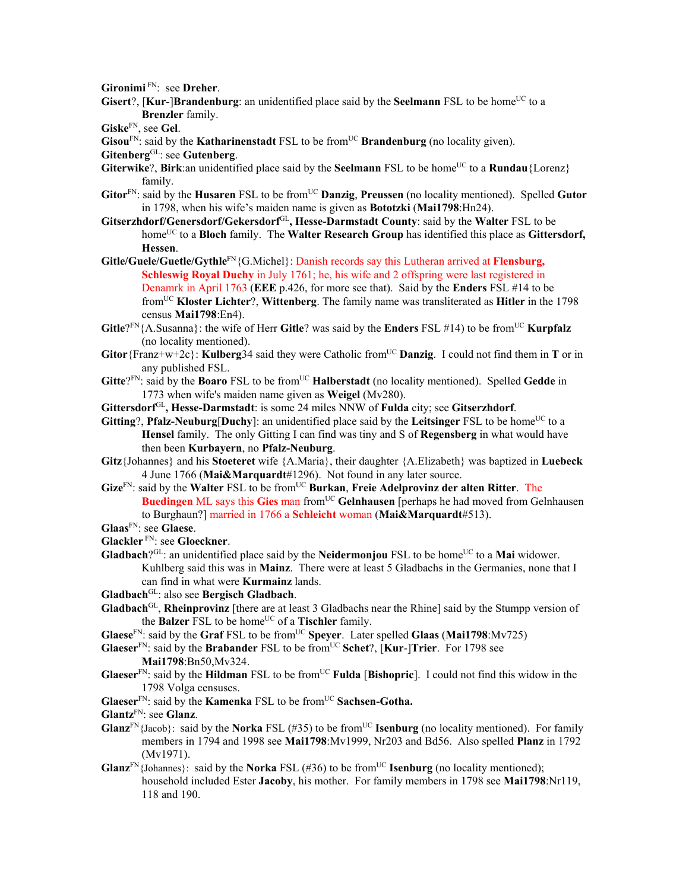**Gironimi** FN: see **Dreher**.

**Gisert**?, [**Kur-**]Brandenburg: an unidentified place said by the **Seelmann** FSL to be home<sup>UC</sup> to a **Brenzler** family.

**Giske**FN, see **Gel**.

**Gisou**<sup>FN</sup>: said by the **Katharinenstadt** FSL to be from<sup>UC</sup> **Brandenburg** (no locality given).

```
GitenbergGL: see Gutenberg.
```
- **Giterwike?, Birk:an unidentified place said by the <b>Seelmann** FSL to be home<sup>UC</sup> to a **Rundau**{Lorenz} family.
- Gitor<sup>FN</sup>: said by the **Husaren** FSL to be from<sup>UC</sup> **Danzig**, **Preussen** (no locality mentioned). Spelled Gutor in 1798, when his wife's maiden name is given as **Bototzki** (**Mai1798**:Hn24).
- **Gitserzhdorf/Genersdorf/Gekersdorf**GL**, Hesse-Darmstadt County**: said by the **Walter** FSL to be home<sup>UC</sup> to a **Bloch** family. The **Walter Research Group** has identified this place as **Gittersdorf**, **Hessen**.
- **Gitle/Guele/Guetle/Gythle**FN{G.Michel}: Danish records say this Lutheran arrived at **Flensburg, Schleswig Royal Duchy** in July 1761; he, his wife and 2 offspring were last registered in Denamrk in April 1763 (**EEE** p.426, for more see that). Said by the **Enders** FSL #14 to be fromUC **Kloster Lichter**?, **Wittenberg**. The family name was transliterated as **Hitler** in the 1798 census **Mai1798**:En4).
- **Gitle**?<sup>FN</sup>{A.Susanna}: the wife of Herr **Gitle**? was said by the **Enders** FSL #14) to be from<sup>UC</sup> **Kurpfalz** (no locality mentioned).
- **Gitor**{Franz+w+2c}: **Kulberg**34 said they were Catholic from<sup>UC</sup> **Danzig**. I could not find them in **T** or in any published FSL.
- **Gitte**?FN: said by the **Boaro** FSL to be fromUC **Halberstadt** (no locality mentioned). Spelled **Gedde** in 1773 when wife's maiden name given as **Weigel** (Mv280).
- **Gittersdorf**GL**, Hesse-Darmstadt**: is some 24 miles NNW of **Fulda** city; see **Gitserzhdorf**.
- **Gitting**?, **Pfalz-Neuburg**[Duchy]: an unidentified place said by the Leitsinger FSL to be home<sup>UC</sup> to a **Hensel** family. The only Gitting I can find was tiny and S of **Regensberg** in what would have then been **Kurbayern**, no **Pfalz-Neuburg**.
- **Gitz**{Johannes} and his **Stoeteret** wife {A.Maria}, their daughter {A.Elizabeth} was baptized in **Luebeck** 4 June 1766 (**Mai&Marquardt**#1296). Not found in any later source.
- **Gize**FN: said by the **Walter** FSL to be fromUC **Burkan**, **Freie Adelprovinz der alten Ritter**. The **Buedingen** ML says this Gies man from<sup>UC</sup> Gelnhausen [perhaps he had moved from Gelnhausen] to Burghaun?] married in 1766 a **Schleicht** woman (**Mai&Marquardt**#513).

**Glaas**FN: see **Glaese**.

- **Glackler** FN: see **Gloeckner**.
- **Gladbach**?<sup>GL</sup>: an unidentified place said by the **Neidermonjou** FSL to be home<sup>UC</sup> to a **Mai** widower. Kuhlberg said this was in **Mainz**. There were at least 5 Gladbachs in the Germanies, none that I can find in what were **Kurmainz** lands.
- **Gladbach**GL: also see **Bergisch Gladbach**.
- **Gladbach**GL, **Rheinprovinz** [there are at least 3 Gladbachs near the Rhine] said by the Stumpp version of the **Balzer** FSL to be home<sup>UC</sup> of a **Tischler** family.
- **Glaese**FN: said by the **Graf** FSL to be fromUC **Speyer**. Later spelled **Glaas** (**Mai1798**:Mv725)
- **Glaeser**FN: said by the **Brabander** FSL to be fromUC **Schet**?, [**Kur**-]**Trier**. For 1798 see **Mai1798**:Bn50,Mv324.
- **Glaeser**<sup>FN</sup>: said by the **Hildman** FSL to be from<sup>UC</sup> **Fulda** [Bishopric]. I could not find this widow in the 1798 Volga censuses.
- **Glaeser**<sup>FN</sup>: said by the **Kamenka** FSL to be from<sup>UC</sup> **Sachsen-Gotha.**
- **Glantz**FN: see **Glanz**.
- **Glanz**<sup>FN</sup>{Jacob}: said by the **Norka** FSL (#35) to be from<sup>UC</sup> **Isenburg** (no locality mentioned). For family members in 1794 and 1998 see **Mai1798**:Mv1999, Nr203 and Bd56. Also spelled **Planz** in 1792 (Mv1971).
- **Glanz**<sup>FN</sup>{Johannes}: said by the **Norka** FSL (#36) to be from<sup>UC</sup> **Isenburg** (no locality mentioned); household included Ester **Jacoby**, his mother. For family members in 1798 see **Mai1798**:Nr119, 118 and 190.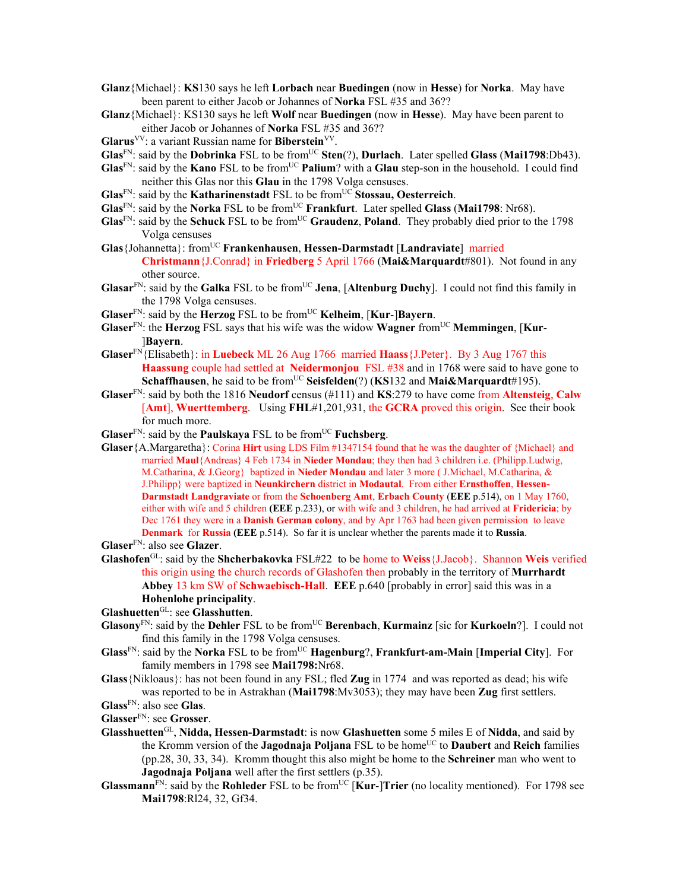- **Glanz**{Michael}: **KS**130 says he left **Lorbach** near **Buedingen** (now in **Hesse**) for **Norka**. May have been parent to either Jacob or Johannes of **Norka** FSL #35 and 36??
- **Glanz**{Michael}: KS130 says he left **Wolf** near **Buedingen** (now in **Hesse**). May have been parent to either Jacob or Johannes of **Norka** FSL #35 and 36??
- **Glarus**VV: a variant Russian name for **Biberstein**VV.
- **Glas**FN: said by the **Dobrinka** FSL to be fromUC **Sten**(?), **Durlach**. Later spelled **Glass** (**Mai1798**:Db43).
- **Glas**<sup>FN</sup>: said by the **Kano** FSL to be from<sup>UC</sup> **Palium**? with a **Glau** step-son in the household. I could find neither this Glas nor this **Glau** in the 1798 Volga censuses.
- **Glas**FN: said by the **Katharinenstadt** FSL to be fromUC **Stossau, Oesterreich**.
- **Glas**FN: said by the **Norka** FSL to be fromUC **Frankfurt**. Later spelled **Glass** (**Mai1798**: Nr68).
- **Glas**FN: said by the **Schuck** FSL to be fromUC **Graudenz**, **Poland**. They probably died prior to the 1798 Volga censuses
- **Glas**{Johannetta}: fromUC **Frankenhausen**, **Hessen-Darmstadt** [**Landraviate**] married **Christmann**{J.Conrad} in **Friedberg** 5 April 1766 (**Mai&Marquardt**#801). Not found in any other source.
- **Glasar**<sup>FN</sup>: said by the **Galka** FSL to be from<sup>UC</sup> Jena, [Altenburg Duchy]. I could not find this family in the 1798 Volga censuses.
- **Glaser**<sup>FN</sup>: said by the **Herzog** FSL to be from<sup>UC</sup> **Kelheim**, [**Kur-**]Bayern.
- **Glaser**FN: the **Herzog** FSL says that his wife was the widow **Wagner** fromUC **Memmingen**, [**Kur** ]**Bayern**.
- **Glaser**FN{Elisabeth}: in **Luebeck** ML 26 Aug 1766 married **Haass**{J.Peter}. By 3 Aug 1767 this **Haassung** couple had settled at **Neidermonjou** FSL #38 and in 1768 were said to have gone to **Schaffhausen**, he said to be from<sup>UC</sup> **Seisfelden**(?) (**KS**132 and **Mai&Marquardt**#195).
- **Glaser**FN: said by both the 1816 **Neudorf** census (#111) and **KS**:279 to have come from **Altensteig**, **Calw** [**Amt**], **Wuerttemberg**. Using **FHL**#1,201,931, the **GCRA** proved this origin. See their book for much more.
- **Glaser**<sup>FN</sup>: said by the **Paulskaya** FSL to be from<sup>UC</sup> **Fuchsberg**.
- **Glaser**{A.Margaretha}: Corina **Hirt** using LDS Film #1347154 found that he was the daughter of {Michael} and married **Maul**{Andreas} 4 Feb 1734 in **Nieder Mondau**; they then had 3 children i.e. (Philipp.Ludwig, M.Catharina, & J.Georg} baptized in **Nieder Mondau** and later 3 more ( J.Michael, M.Catharina, & J.Philipp} were baptized in **Neunkirchern** district in **Modautal**. From either **Ernsthoffen**, **Hessen-Darmstadt Landgraviate** or from the **Schoenberg Amt**, **Erbach County** (**EEE** p.514), on 1 May 1760, either with wife and 5 children **(EEE** p.233), or with wife and 3 children, he had arrived at **Fridericia**; by Dec 1761 they were in a **Danish German colony**, and by Apr 1763 had been given permission to leave **Denmark** for **Russia (EEE** p.514). So far it is unclear whether the parents made it to **Russia**.

**Glaser**FN: also see **Glazer**.

**Glashofen**GL: said by the **Shcherbakovka** FSL#22 to be home to **Weiss**{J.Jacob}. Shannon **Weis** verified this origin using the church records of Glashofen then probably in the territory of **Murrhardt Abbey** 13 km SW of **Schwaebisch-Hall**. **EEE** p.640 [probably in error] said this was in a **Hohenlohe principality**.

**Glashuetten**GL: see **Glasshutten**.

- **Glasony**<sup>FN</sup>: said by the **Dehler** FSL to be from<sup>UC</sup> **Berenbach**, **Kurmainz** [sic for **Kurkoeln**?]. I could not find this family in the 1798 Volga censuses.
- **Glass**FN: said by the **Norka** FSL to be fromUC **Hagenburg**?, **Frankfurt-am-Main** [**Imperial City**]. For family members in 1798 see **Mai1798:**Nr68.
- **Glass**{Nikloaus}: has not been found in any FSL; fled **Zug** in 1774 and was reported as dead; his wife was reported to be in Astrakhan (**Mai1798**:Mv3053); they may have been **Zug** first settlers.

**Glass**FN: also see **Glas**.

- **Glasser**FN: see **Grosser**.
- **Glasshuetten**GL, **Nidda, Hessen-Darmstadt**: is now **Glashuetten** some 5 miles E of **Nidda**, and said by the Kromm version of the **Jagodnaja Poljana** FSL to be homeUC to **Daubert** and **Reich** families (pp.28, 30, 33, 34). Kromm thought this also might be home to the **Schreiner** man who went to **Jagodnaja Poljana** well after the first settlers (p.35).
- **Glassmann**<sup>FN</sup>: said by the **Rohleder** FSL to be from<sup>UC</sup> [**Kur-**]**Trier** (no locality mentioned). For 1798 see **Mai1798**:Rl24, 32, Gf34.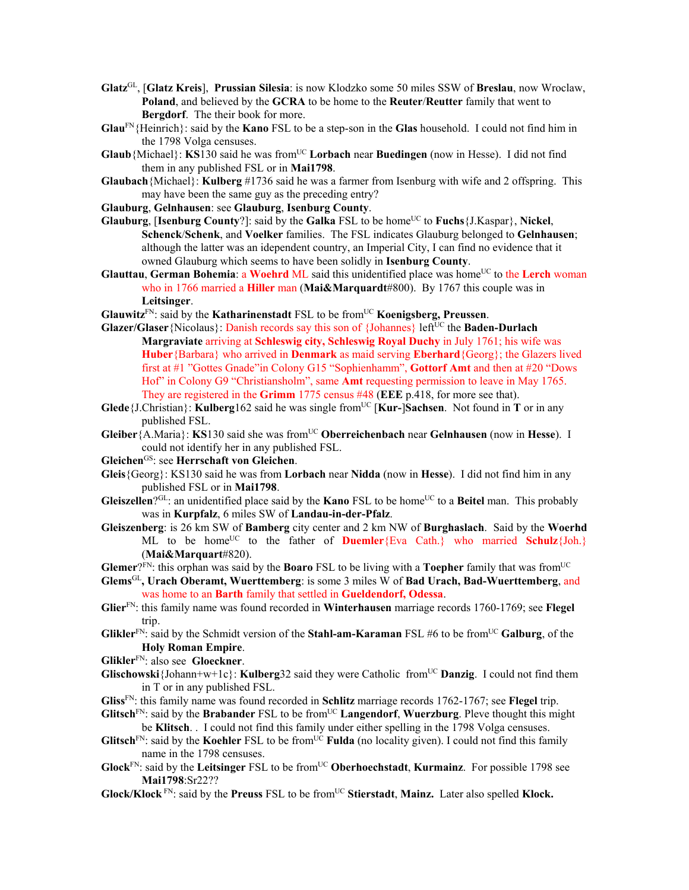- **Glatz**GL, [**Glatz Kreis**], **Prussian Silesia**: is now Klodzko some 50 miles SSW of **Breslau**, now Wroclaw, **Poland**, and believed by the **GCRA** to be home to the **Reuter**/**Reutter** family that went to **Bergdorf**. The their book for more.
- **Glau**FN{Heinrich}: said by the **Kano** FSL to be a step-son in the **Glas** household. I could not find him in the 1798 Volga censuses.
- **Glaub**{Michael}: **KS**130 said he was from<sup>UC</sup> **Lorbach** near **Buedingen** (now in Hesse). I did not find them in any published FSL or in **Mai1798**.
- **Glaubach**{Michael}: **Kulberg** #1736 said he was a farmer from Isenburg with wife and 2 offspring. This may have been the same guy as the preceding entry?
- **Glauburg**, **Gelnhausen**: see **Glauburg**, **Isenburg County**.
- **Glauburg**, [Isenburg County?]: said by the Galka FSL to be home<sup>UC</sup> to Fuchs $\{J.Kaspar\}$ , Nickel, **Schenck**/**Schenk**, and **Voelker** families. The FSL indicates Glauburg belonged to **Gelnhausen**; although the latter was an idependent country, an Imperial City, I can find no evidence that it owned Glauburg which seems to have been solidly in **Isenburg County**.
- **Glauttau, German Bohemia: a Woehrd ML** said this unidentified place was home<sup>UC</sup> to the Lerch woman who in 1766 married a **Hiller** man (**Mai&Marquardt**#800). By 1767 this couple was in **Leitsinger**.
- **Glauwitz**<sup>FN</sup>: said by the **Katharinenstadt** FSL to be from<sup>UC</sup> **Koenigsberg, Preussen**.
- Glazer/Glaser {Nicolaus}: Danish records say this son of {Johannes} left<sup>UC</sup> the **Baden-Durlach Margraviate** arriving at **Schleswig city, Schleswig Royal Duchy** in July 1761; his wife was **Huber**{Barbara} who arrived in **Denmark** as maid serving **Eberhard**{Georg}; the Glazers lived first at #1 "Gottes Gnade"in Colony G15 "Sophienhamm", **Gottorf Amt** and then at #20 "Dows Hof" in Colony G9 "Christiansholm", same **Amt** requesting permission to leave in May 1765. They are registered in the **Grimm** 1775 census #48 (**EEE** p.418, for more see that).
- **Glede**{J.Christian}: **Kulberg**162 said he was single from<sup>UC</sup> [Kur-]Sachsen. Not found in **T** or in any published FSL.
- **Gleiber**{A.Maria}: **KS**130 said she was fromUC **Oberreichenbach** near **Gelnhausen** (now in **Hesse**). I could not identify her in any published FSL.
- **Gleichen**GS: see **Herrschaft von Gleichen**.
- **Gleis**{Georg}: KS130 said he was from **Lorbach** near **Nidda** (now in **Hesse**). I did not find him in any published FSL or in **Mai1798**.
- **Gleiszellen**?GL: an unidentified place said by the **Kano** FSL to be home<sup>UC</sup> to a **Beitel** man. This probably was in **Kurpfalz**, 6 miles SW of **Landau-in-der-Pfalz**.
- **Gleiszenberg**: is 26 km SW of **Bamberg** city center and 2 km NW of **Burghaslach**. Said by the **Woerhd**  ML to be home<sup>UC</sup> to the father of **Duemler**{Eva Cath.} who married **Schulz**{Joh.} (**Mai&Marquart**#820).
- **Glemer**?FN: this orphan was said by the **Boaro** FSL to be living with a **Toepher** family that was fromUC
- **Glems**GL**, Urach Oberamt, Wuerttemberg**: is some 3 miles W of **Bad Urach, Bad-Wuerttemberg**, and was home to an **Barth** family that settled in **Gueldendorf, Odessa**.
- **Glier**FN: this family name was found recorded in **Winterhausen** marriage records 1760-1769; see **Flegel** trip.
- **Glikler**<sup>FN</sup>: said by the Schmidt version of the **Stahl-am-Karaman** FSL #6 to be from<sup>UC</sup> **Galburg**, of the **Holy Roman Empire**.

**Glikler**FN: also see **Gloeckner**.

- **Glischowski**{Johann+w+1c}: **Kulberg**32 said they were Catholic from<sup>UC</sup> **Danzig**. I could not find them in T or in any published FSL.
- **Gliss**FN: this family name was found recorded in **Schlitz** marriage records 1762-1767; see **Flegel** trip.
- **Glitsch**<sup>FN</sup>: said by the **Brabander** FSL to be from<sup>UC</sup> **Langendorf**, **Wuerzburg**. Pleve thought this might be **Klitsch**. . I could not find this family under either spelling in the 1798 Volga censuses.
- **Glitsch**<sup>FN</sup>: said by the **Koehler** FSL to be from<sup>UC</sup> **Fulda** (no locality given). I could not find this family name in the 1798 censuses.
- **Glock**FN: said by the **Leitsinger** FSL to be fromUC **Oberhoechstadt**, **Kurmainz**. For possible 1798 see **Mai1798**:Sr22??
- **Glock/Klock** FN: said by the **Preuss** FSL to be fromUC **Stierstadt**, **Mainz.** Later also spelled **Klock.**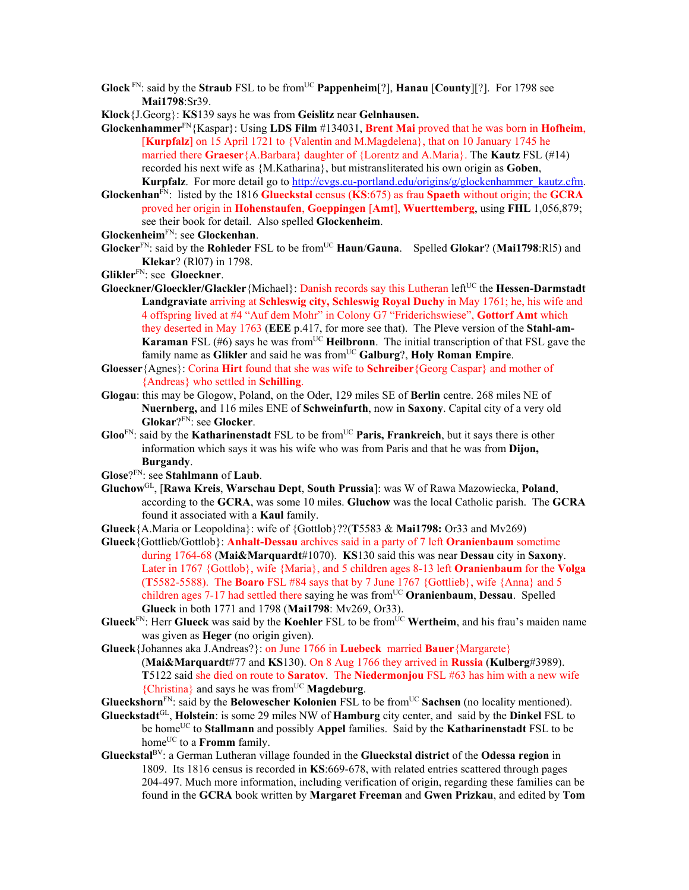- **Glock**  $F_N$ : said by the **Straub** FSL to be from<sup>UC</sup> **Pappenheim**[?], **Hanau** [County][?]. For 1798 see **Mai1798**:Sr39.
- **Klock**{J.Georg}: **KS**139 says he was from **Geislitz** near **Gelnhausen.**
- **Glockenhammer**FN{Kaspar}: Using **LDS Film** #134031, **Brent Mai** proved that he was born in **Hofheim**, [**Kurpfalz**] on 15 April 1721 to {Valentin and M.Magdelena}, that on 10 January 1745 he married there **Graeser**{A.Barbara} daughter of {Lorentz and A.Maria}. The **Kautz** FSL (#14) recorded his next wife as {M.Katharina}, but mistransliterated his own origin as **Goben**, **Kurpfalz**. For more detail go to http://cvgs.cu-portland.edu/origins/g/glockenhammer\_kautz.cfm.
- **Glockenhan**FN: listed by the 1816 **Glueckstal** census (**KS**:675) as frau **Spaeth** without origin; the **GCRA** proved her origin in **Hohenstaufen**, **Goeppingen** [**Amt**], **Wuerttemberg**, using **FHL** 1,056,879; see their book for detail. Also spelled **Glockenheim**.
- **Glockenheim**FN: see **Glockenhan**.
- **Glocker**FN: said by the **Rohleder** FSL to be fromUC **Haun**/**Gauna**.Spelled **Glokar**? (**Mai1798**:Rl5) and **Klekar**? (Rl07) in 1798.
- **Glikler**FN: see **Gloeckner**.
- **Gloeckner/Gloeckler/Glackler** {Michael}: Danish records say this Lutheran left<sup>UC</sup> the **Hessen-Darmstadt Landgraviate** arriving at **Schleswig city, Schleswig Royal Duchy** in May 1761; he, his wife and 4 offspring lived at #4 "Auf dem Mohr" in Colony G7 "Friderichswiese", **Gottorf Amt** which they deserted in May 1763 (**EEE** p.417, for more see that). The Pleve version of the **Stahl-am-Karaman** FSL (#6) says he was from<sup>UC</sup> **Heilbronn**. The initial transcription of that FSL gave the family name as Glikler and said he was from<sup>UC</sup> Galburg?, Holy Roman Empire.
- **Gloesser**{Agnes}: Corina **Hirt** found that she was wife to **Schreiber**{Georg Caspar} and mother of {Andreas} who settled in **Schilling**.
- **Glogau**: this may be Glogow, Poland, on the Oder, 129 miles SE of **Berlin** centre. 268 miles NE of **Nuernberg,** and 116 miles ENE of **Schweinfurth**, now in **Saxony**. Capital city of a very old **Glokar**?FN: see **Glocker**.
- **Gloo**<sup>FN</sup>: said by the **Katharinenstadt** FSL to be from<sup>UC</sup> **Paris, Frankreich**, but it says there is other information which says it was his wife who was from Paris and that he was from **Dijon, Burgandy**.
- **Glose**?FN: see **Stahlmann** of **Laub**.
- **Gluchow**GL, [**Rawa Kreis**, **Warschau Dept**, **South Prussia**]: was W of Rawa Mazowiecka, **Poland**, according to the **GCRA**, was some 10 miles. **Gluchow** was the local Catholic parish. The **GCRA** found it associated with a **Kaul** family.
- **Glueck**{A.Maria or Leopoldina}: wife of {Gottlob}??(**T**5583 & **Mai1798:** Or33 and Mv269)
- **Glueck**{Gottlieb/Gottlob}: **Anhalt-Dessau** archives said in a party of 7 left **Oranienbaum** sometime during 1764-68 (**Mai&Marquardt**#1070). **KS**130 said this was near **Dessau** city in **Saxony**. Later in 1767 {Gottlob}, wife {Maria}, and 5 children ages 8-13 left **Oranienbaum** for the **Volga**  (**T**5582-5588).The **Boaro** FSL #84 says that by 7 June 1767 {Gottlieb}, wife {Anna} and 5 children ages 7-17 had settled there saying he was from<sup>UC</sup> Oranienbaum, Dessau. Spelled **Glueck** in both 1771 and 1798 (**Mai1798**: Mv269, Or33).
- **Glueck**<sup>FN</sup>: Herr **Glueck** was said by the **Koehler** FSL to be from<sup>UC</sup> Wertheim, and his frau's maiden name was given as **Heger** (no origin given).
- **Glueck**{Johannes aka J.Andreas?}: on June 1766 in **Luebeck** married **Bauer**{Margarete} (**Mai&Marquardt**#77 and **KS**130). On 8 Aug 1766 they arrived in **Russia** (**Kulberg**#3989). **T**5122 said she died on route to **Saratov**. The **Niedermonjou** FSL #63 has him with a new wife {Christina} and says he was fromUC **Magdeburg**.
- **Glueckshorn**<sup>FN</sup>: said by the **Belowescher Kolonien** FSL to be from<sup>UC</sup> Sachsen (no locality mentioned).
- **Glueckstadt**GL, **Holstein**: is some 29 miles NW of **Hamburg** city center, and said by the **Dinkel** FSL to be homeUC to **Stallmann** and possibly **Appel** families. Said by the **Katharinenstadt** FSL to be home<sup>UC</sup> to a **Fromm** family.
- **Glueckstal**BV: a German Lutheran village founded in the **Glueckstal district** of the **Odessa region** in 1809. Its 1816 census is recorded in **KS**:669-678, with related entries scattered through pages 204-497. Much more information, including verification of origin, regarding these families can be found in the **GCRA** book written by **Margaret Freeman** and **Gwen Prizkau**, and edited by **Tom**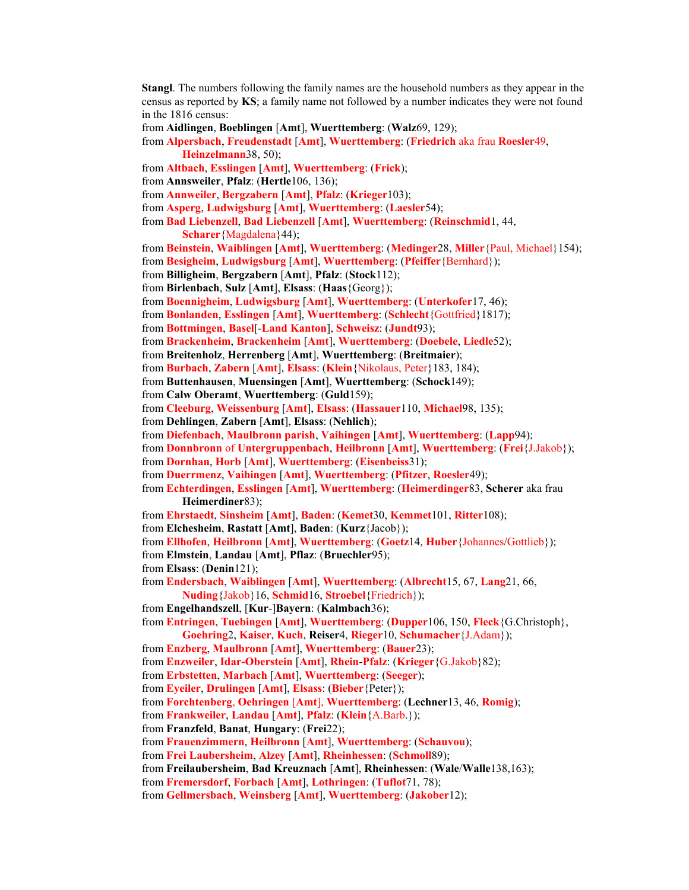**Stangl**. The numbers following the family names are the household numbers as they appear in the census as reported by **KS**; a family name not followed by a number indicates they were not found in the 1816 census: from **Aidlingen**, **Boeblingen** [**Amt**], **Wuerttemberg**: (**Walz**69, 129); from **Alpersbach**, **Freudenstadt** [**Amt**], **Wuerttemberg**: (**Friedrich** aka frau **Roesler**49, **Heinzelmann**38, 50); from **Altbach**, **Esslingen** [**Amt**], **Wuerttemberg**: (**Frick**); from **Annsweiler**, **Pfalz**: (**Hertle**106, 136); from **Annweiler**, **Bergzabern** [**Amt**], **Pfalz**: (**Krieger**103); from **Asperg**, **Ludwigsburg** [**Amt**], **Wuerttemberg**: (**Laesler**54); from **Bad Liebenzell**, **Bad Liebenzell** [**Amt**], **Wuerttemberg**: (**Reinschmid**1, 44, **Scharer**{Magdalena}44); from **Beinstein**, **Waiblingen** [**Amt**], **Wuerttemberg**: (**Medinger**28, **Miller**{Paul, Michael}154); from **Besigheim**, **Ludwigsburg** [**Amt**], **Wuerttemberg**: (**Pfeiffer**{Bernhard}); from **Billigheim**, **Bergzabern** [**Amt**], **Pfalz**: (**Stock**112); from **Birlenbach**, **Sulz** [**Amt**], **Elsass**: (**Haas**{Georg}); from **Boennigheim**, **Ludwigsburg** [**Amt**], **Wuerttemberg**: (**Unterkofer**17, 46); from **Bonlanden**, **Esslingen** [**Amt**], **Wuerttemberg**: (**Schlecht**{Gottfried}1817); from **Bottmingen**, **Basel**[-**Land Kanton**], **Schweisz**: (**Jundt**93); from **Brackenheim**, **Brackenheim** [**Amt**], **Wuerttemberg**: (**Doebele**, **Liedle**52); from **Breitenholz**, **Herrenberg** [**Amt**], **Wuerttemberg**: (**Breitmaier**); from **Burbach**, **Zabern** [**Amt**], **Elsass**: (**Klein**{Nikolaus, Peter}183, 184); from **Buttenhausen**, **Muensingen** [**Amt**], **Wuerttemberg**: (**Schock**149); from **Calw Oberamt**, **Wuerttemberg**: (**Guld**159); from **Cleeburg**, **Weissenburg** [**Amt**], **Elsass**: (**Hassauer**110, **Michael**98, 135); from **Dehlingen**, **Zabern** [**Amt**], **Elsass**: (**Nehlich**); from **Diefenbach**, **Maulbronn parish**, **Vaihingen** [**Amt**], **Wuerttemberg**: (**Lapp**94); from **Donnbronn** of **Untergruppenbach**, **Heilbronn** [**Amt**], **Wuerttemberg**: (**Frei**{J.Jakob}); from **Dornhan**, **Horb** [**Amt**], **Wuerttemberg**: (**Eisenbeiss**31); from **Duerrmenz**, **Vaihingen** [**Amt**], **Wuerttemberg**: (**Pfitzer**, **Roesler**49); from **Echterdingen**, **Esslingen** [**Amt**], **Wuerttemberg**: (**Heimerdinger**83, **Scherer** aka frau **Heimerdiner**83); from **Ehrstaedt**, **Sinsheim** [**Amt**], **Baden**: (**Kemet**30, **Kemmet**101, **Ritter**108); from **Elchesheim**, **Rastatt** [**Amt**], **Baden**: (**Kurz**{Jacob}); from **Ellhofen**, **Heilbronn** [**Amt**], **Wuerttemberg**: (**Goetz**14, **Huber**{Johannes/Gottlieb}); from **Elmstein**, **Landau** [**Amt**], **Pflaz**: (**Bruechler**95); from **Elsass**: (**Denin**121); from **Endersbach**, **Waiblingen** [**Amt**], **Wuerttemberg**: (**Albrecht**15, 67, **Lang**21, 66, **Nuding**{Jakob}16, **Schmid**16, **Stroebel**{Friedrich}); from **Engelhandszell**, [**Kur**-]**Bayern**: (**Kalmbach**36); from **Entringen**, **Tuebingen** [**Amt**], **Wuerttemberg**: (**Dupper**106, 150, **Fleck**{G.Christoph}, **Goehring**2, **Kaiser**, **Kuch**, **Reiser**4, **Rieger**10, **Schumacher**{J.Adam}); from **Enzberg**, **Maulbronn** [**Amt**], **Wuerttemberg**: (**Bauer**23); from **Enzweiler**, **Idar-Oberstein** [**Amt**], **Rhein**-**Pfalz**: (**Krieger**{G.Jakob}82); from **Erbstetten**, **Marbach** [**Amt**], **Wuerttemberg**: (**Seeger**); from **Eyeiler**, **Drulingen** [**Amt**], **Elsass**: (**Bieber**{Peter}); from **Forchtenberg**, **Oehringen** [**Amt**], **Wuerttemberg**: (**Lechner**13, 46, **Romig**); from **Frankweiler**, **Landau** [**Amt**], **Pfalz**: (**Klein**{A.Barb.}); from **Franzfeld**, **Banat**, **Hungary**: (**Frei**22); from **Frauenzimmern**, **Heilbronn** [**Amt**], **Wuerttemberg**: (**Schauvou**); from **Frei Laubersheim**, **Alzey** [**Amt**], **Rheinhessen**: (**Schmoll**89); from **Freilaubersheim**, **Bad Kreuznach** [**Amt**], **Rheinhessen**: (**Wale**/**Walle**138,163); from **Fremersdorf**, **Forbach** [**Amt**], **Lothringen**: (**Tuflot**71, 78); from **Gellmersbach**, **Weinsberg** [**Amt**], **Wuerttemberg**: (**Jakober**12);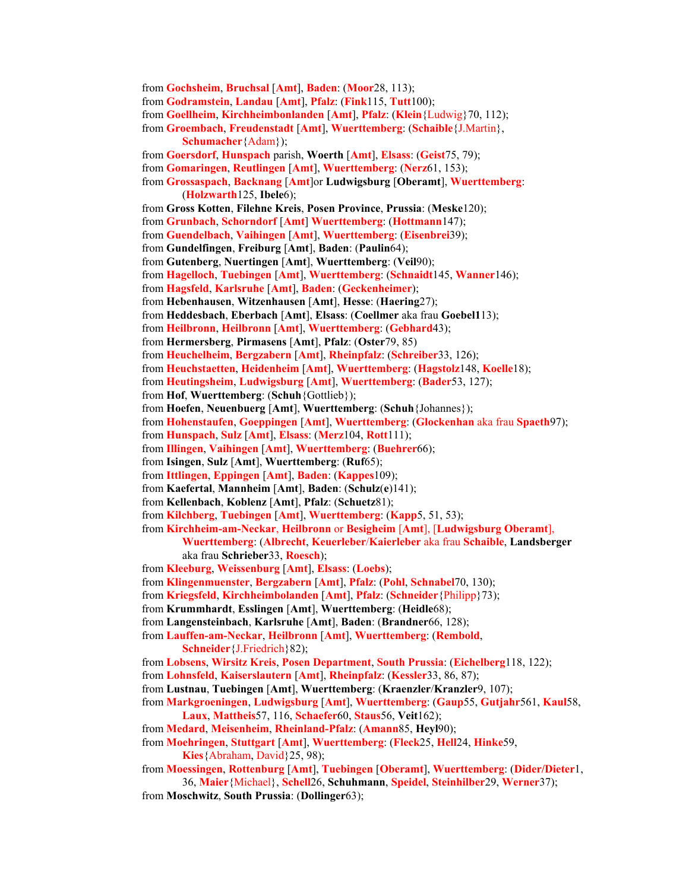from **Gochsheim**, **Bruchsal** [**Amt**], **Baden**: (**Moor**28, 113); from **Godramstein**, **Landau** [**Amt**], **Pfalz**: (**Fink**115, **Tutt**100); from **Goellheim**, **Kirchheimbonlanden** [**Amt**], **Pfalz**: (**Klein**{Ludwig}70, 112); from **Groembach**, **Freudenstadt** [**Amt**], **Wuerttemberg**: (**Schaible**{J.Martin}, **Schumacher**{Adam}); from **Goersdorf**, **Hunspach** parish, **Woerth** [**Amt**], **Elsass**: (**Geist**75, 79); from **Gomaringen**, **Reutlingen** [**Amt**], **Wuerttemberg**: (**Nerz**61, 153); from **Grossaspach**, **Backnang** [**Amt**]or **Ludwigsburg** [**Oberamt**], **Wuerttemberg**: (**Holzwarth**125, **Ibele**6); from **Gross Kotten**, **Filehne Kreis**, **Posen Province**, **Prussia**: (**Meske**120); from **Grunbach**, **Schorndorf** [**Amt**] **Wuerttemberg**: (**Hottmann**147); from **Guendelbach**, **Vaihingen** [**Amt**], **Wuerttemberg**: (**Eisenbrei**39); from **Gundelfingen**, **Freiburg** [**Amt**], **Baden**: (**Paulin**64); from **Gutenberg**, **Nuertingen** [**Amt**], **Wuerttemberg**: (**Veil**90); from **Hagelloch**, **Tuebingen** [**Amt**], **Wuerttemberg**: (**Schnaidt**145, **Wanner**146); from **Hagsfeld**, **Karlsruhe** [**Amt**], **Baden**: (**Geckenheimer**); from **Hebenhausen**, **Witzenhausen** [**Amt**], **Hesse**: (**Haering**27); from **Heddesbach**, **Eberbach** [**Amt**], **Elsass**: (**Coellmer** aka frau **Goebel1**13); from **Heilbronn**, **Heilbronn** [**Amt**], **Wuerttemberg**: (**Gebhard**43); from **Hermersberg**, **Pirmasens** [**Amt**], **Pfalz**: (**Oster**79, 85) from **Heuchelheim**, **Bergzabern** [**Amt**], **Rheinpfalz**: (**Schreiber**33, 126); from **Heuchstaetten**, **Heidenheim** [**Amt**], **Wuerttemberg**: (**Hagstolz**148, **Koelle**18); from **Heutingsheim**, **Ludwigsburg** [**Amt**], **Wuerttemberg**: (**Bader**53, 127); from **Hof**, **Wuerttemberg**: (**Schuh**{Gottlieb}); from **Hoefen**, **Neuenbuerg** [**Amt**], **Wuerttemberg**: (**Schuh**{Johannes}); from **Hohenstaufen**, **Goeppingen** [**Amt**], **Wuerttemberg**: (**Glockenhan** aka frau **Spaeth**97); from **Hunspach**, **Sulz** [**Amt**], **Elsass**: (**Merz**104, **Rott**111); from **Illingen**, **Vaihingen** [**Amt**], **Wuerttemberg**: (**Buehrer**66); from **Isingen**, **Sulz** [**Amt**], **Wuerttemberg**: (**Ruf**65); from **Ittlingen**, **Eppingen** [**Amt**], **Baden**: (**Kappes**109); from **Kaefertal**, **Mannheim** [**Amt**], **Baden**: (**Schulz**(**e**)141); from **Kellenbach**, **Koblenz** [**Amt**], **Pfalz**: (**Schuetz**81); from **Kilchberg**, **Tuebingen** [**Amt**], **Wuerttemberg**: (**Kapp**5, 51, 53); from **Kirchheim-am-Neckar**, **Heilbronn** or **Besigheim** [**Amt**], [**Ludwigsburg Oberamt**], **Wuerttemberg**: (**Albrecht**, **Keuerleber**/**Kaierleber** aka frau **Schaible**, **Landsberger** aka frau **Schrieber**33, **Roesch**); from **Kleeburg**, **Weissenburg** [**Amt**], **Elsass**: (**Loebs**); from **Klingenmuenster**, **Bergzabern** [**Amt**], **Pfalz**: (**Pohl**, **Schnabel**70, 130); from **Kriegsfeld**, **Kirchheimbolanden** [**Amt**], **Pfalz**: (**Schneider**{Philipp}73); from **Krummhardt**, **Esslingen** [**Amt**], **Wuerttemberg**: (**Heidle**68); from **Langensteinbach**, **Karlsruhe** [**Amt**], **Baden**: (**Brandner**66, 128); from **Lauffen-am-Neckar**, **Heilbronn** [**Amt**], **Wuerttemberg**: (**Rembold**, **Schneider**{J.Friedrich}82); from **Lobsens**, **Wirsitz Kreis**, **Posen Department**, **South Prussia**: (**Eichelberg**118, 122); from **Lohnsfeld**, **Kaiserslautern** [**Amt**], **Rheinpfalz**: (**Kessler**33, 86, 87); from **Lustnau**, **Tuebingen** [**Amt**], **Wuerttemberg**: (**Kraenzler**/**Kranzler**9, 107); from **Markgroeningen**, **Ludwigsburg** [**Amt**], **Wuerttemberg**: (**Gaup**55, **Gutjahr**561, **Kaul**58, **Laux**, **Mattheis**57, 116, **Schaefer**60, **Staus**56, **Veit**162); from **Medard**, **Meisenheim**, **Rheinland-Pfalz**: (**Amann**85, **Heyl**90); from **Moehringen**, **Stuttgart** [**Amt**], **Wuerttemberg**: (**Fleck**25, **Hell**24, **Hinke**59, **Kies**{Abraham, David}25, 98); from **Moessingen**, **Rottenburg** [**Amt**], **Tuebingen** [**Oberamt**], **Wuerttemberg**: (**Dider/Dieter**1, 36, **Maier**{Michael}, **Schell**26, **Schuhmann**, **Speidel**, **Steinhilber**29, **Werner**37); from **Moschwitz**, **South Prussia**: (**Dollinger**63);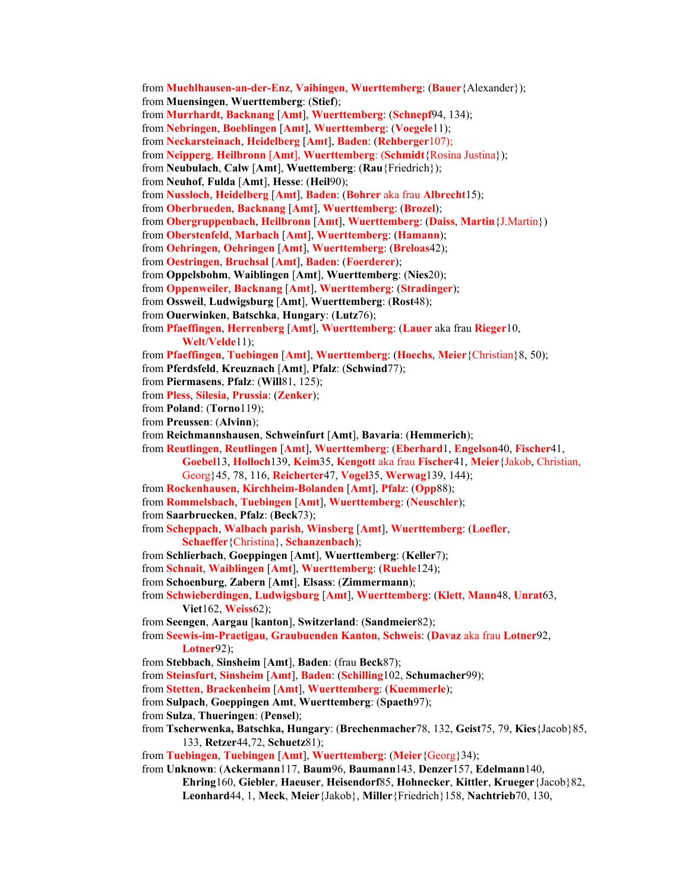from **Muehlhausen-an-der-Enz**, **Vaihingen**, **Wuerttemberg**: (**Bauer**{Alexander}); from **Muensingen**, **Wuerttemberg**: (**Stief**); from **Murrhardt**, **Backnang** [**Amt**], **Wuerttemberg**: (**Schnepf**94, 134); from **Nebringen**, **Boeblingen** [**Amt**], **Wuerttemberg**: (**Voegele**11); from **Neckarsteinach**, **Heidelberg** [**Amt**], **Baden**: (**Rehberger**107); from **Neipperg**, **Heilbronn** [**Amt**], **Wuerttemberg**: (**Schmidt**{Rosina Justina}); from **Neubulach**, **Calw** [**Amt**], **Wuettemberg**: (**Rau**{Friedrich}); from **Neuhof**, **Fulda** [**Amt**], **Hesse**: (**Heil**90); from **Nussloch**, **Heidelberg** [**Amt**], **Baden**: (**Bohrer** aka frau **Albrecht**15); from **Oberbrueden**, **Backnang** [**Amt**], **Wuerttemberg**: (**Brozel**); from **Obergruppenbach**, **Heilbronn** [**Amt**], **Wuerttemberg**: (**Daiss**, **Martin**{J.Martin}) from **Oberstenfeld**, **Marbach** [**Amt**], **Wuerttemberg**: (**Hamann**); from **Oehringen**, **Oehringen** [**Amt**], **Wuerttemberg**: (**Breloas**42); from **Oestringen**, **Bruchsal** [**Amt**], **Baden**: (**Foerderer**); from **Oppelsbohm**, **Waiblingen** [**Amt**], **Wuerttemberg**: (**Nies**20); from **Oppenweiler**, **Backnang** [**Amt**], **Wuerttemberg**: (**Stradinger**); from **Ossweil**, **Ludwigsburg** [**Amt**], **Wuerttemberg**: (**Rost**48); from **Ouerwinken**, **Batschka**, **Hungary**: (**Lutz**76); from **Pfaeffingen**, **Herrenberg** [**Amt**], **Wuerttemberg**: (**Lauer** aka frau **Rieger**10, **Welt**/**Velde**11); from **Pfaeffingen**, **Tuebingen** [**Amt**], **Wuerttemberg**: (**Hoechs**, **Meier**{Christian}8, 50); from **Pferdsfeld**, **Kreuznach** [**Amt**], **Pfalz**: (**Schwind**77); from **Piermasens**, **Pfalz**: (**Will**81, 125); from **Pless**, **Silesia**, **Prussia**: (**Zenker**); from **Poland**: (**Torno**119); from **Preussen**: (**Alvinn**); from **Reichmannshausen**, **Schweinfurt** [**Amt**], **Bavaria**: (**Hemmerich**); from **Reutlingen**, **Reutlingen** [**Amt**], **Wuerttemberg**: (**Eberhard**1, **Engelson**40, **Fischer**41, **Goebel**13, **Holloch**139, **Keim**35, **Kengott** aka frau **Fischer**41, **Meier**{Jakob, Christian, Georg}45, 78, 116, **Reicherter**47, **Vogel**35, **Werwag**139, 144); from **Rockenhausen**, **Kirchheim-Bolanden** [**Amt**], **Pfalz**: (**Opp**88); from **Rommelsbach**, **Tuebingen** [**Amt**], **Wuerttemberg**: (**Neuschler**); from **Saarbruecken**, **Pfalz**: (**Beck**73); from **Scheppach**, **Walbach parish**, **Winsberg** [**Amt**], **Wuerttemberg**: (**Loefler**, **Schaeffer**{Christina}, **Schanzenbach**); from **Schlierbach**, **Goeppingen** [**Amt**], **Wuerttemberg**: (**Keller**7); from **Schnait**, **Waiblingen** [**Amt**], **Wuerttemberg**: (**Ruehle**124); from **Schoenburg**, **Zabern** [**Amt**], **Elsass**: (**Zimmermann**); from **Schwieberdingen**, **Ludwigsburg** [**Amt**], **Wuerttemberg**: (**Klett**, **Mann**48, **Unrat**63, **Viet**162, **Weiss**62); from **Seengen**, **Aargau** [**kanton**], **Switzerland**: (**Sandmeier**82); from **Seewis-im-Praetigau**, **Graubuenden Kanton**, **Schweis**: (**Davaz** aka frau **Lotner**92, **Lotner**92); from **Stebbach**, **Sinsheim** [**Amt**], **Baden**: (frau **Beck**87); from **Steinsfurt**, **Sinsheim** [**Amt**], **Baden**: (**Schilling**102, **Schumacher**99); from **Stetten**, **Brackenheim** [**Amt**], **Wuerttemberg**: (**Kuemmerle**); from **Sulpach**, **Goeppingen Amt**, **Wuerttemberg**: (**Spaeth**97); from **Sulza**, **Thueringen**: (**Pensel**); from **Tscherwenka, Batschka, Hungary**: (**Brechenmacher**78, 132, **Geist**75, 79, **Kies**{Jacob}85, 133, **Retzer**44,72, **Schuetz**81); from **Tuebingen**, **Tuebingen** [**Amt**], **Wuerttemberg**: (**Meier**{Georg}34);

from **Unknown**: (**Ackermann**117, **Baum**96, **Baumann**143, **Denzer**157, **Edelmann**140, **Ehring**160, **Giebler**, **Haeuser**, **Heisendorf**85, **Hohnecker**, **Kittler**, **Krueger**{Jacob}82, **Leonhard**44, 1, **Meck**, **Meier**{Jakob}, **Miller**{Friedrich}158, **Nachtrieb**70, 130,